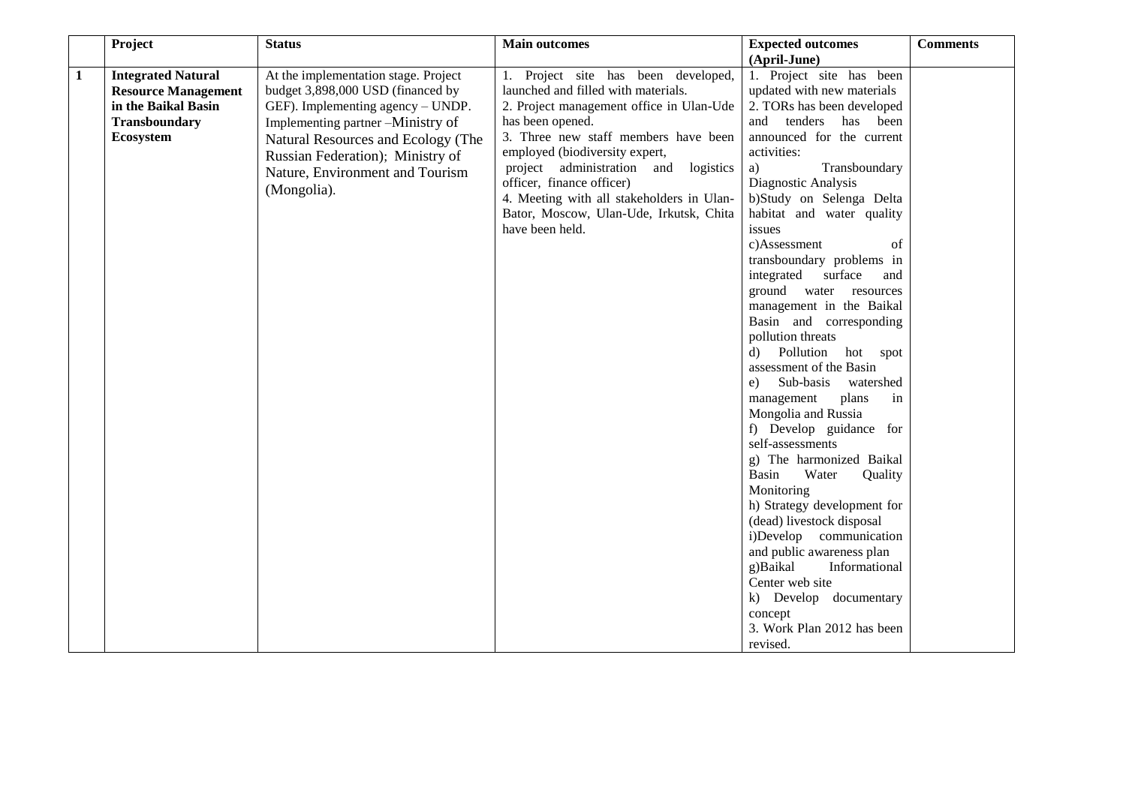|              | Project                    | <b>Status</b>                        | <b>Main outcomes</b>                                                   | <b>Expected outcomes</b>                 | <b>Comments</b> |
|--------------|----------------------------|--------------------------------------|------------------------------------------------------------------------|------------------------------------------|-----------------|
|              |                            |                                      |                                                                        | (April-June)                             |                 |
| $\mathbf{1}$ | <b>Integrated Natural</b>  | At the implementation stage. Project | 1. Project site has been developed,                                    | 1. Project site has been                 |                 |
|              | <b>Resource Management</b> | budget 3,898,000 USD (financed by    | launched and filled with materials.                                    | updated with new materials               |                 |
|              | in the Baikal Basin        | GEF). Implementing agency - UNDP.    | 2. Project management office in Ulan-Ude                               | 2. TORs has been developed               |                 |
|              | Transboundary              | Implementing partner -Ministry of    | has been opened.                                                       | tenders has been<br>and                  |                 |
|              | Ecosystem                  | Natural Resources and Ecology (The   | 3. Three new staff members have been<br>employed (biodiversity expert, | announced for the current<br>activities: |                 |
|              |                            | Russian Federation); Ministry of     | project administration and logistics                                   | Transboundary<br>a)                      |                 |
|              |                            | Nature, Environment and Tourism      | officer, finance officer)                                              | Diagnostic Analysis                      |                 |
|              |                            | (Mongolia).                          | 4. Meeting with all stakeholders in Ulan-                              | b)Study on Selenga Delta                 |                 |
|              |                            |                                      | Bator, Moscow, Ulan-Ude, Irkutsk, Chita                                | habitat and water quality                |                 |
|              |                            |                                      | have been held.                                                        | issues                                   |                 |
|              |                            |                                      |                                                                        | c)Assessment<br>of                       |                 |
|              |                            |                                      |                                                                        | transboundary problems in                |                 |
|              |                            |                                      |                                                                        | integrated surface<br>and                |                 |
|              |                            |                                      |                                                                        | ground water resources                   |                 |
|              |                            |                                      |                                                                        | management in the Baikal                 |                 |
|              |                            |                                      |                                                                        | Basin and corresponding                  |                 |
|              |                            |                                      |                                                                        | pollution threats                        |                 |
|              |                            |                                      |                                                                        | d) Pollution hot spot                    |                 |
|              |                            |                                      |                                                                        | assessment of the Basin                  |                 |
|              |                            |                                      |                                                                        | Sub-basis<br>watershed<br>e)             |                 |
|              |                            |                                      |                                                                        | management<br>plans<br>in                |                 |
|              |                            |                                      |                                                                        | Mongolia and Russia                      |                 |
|              |                            |                                      |                                                                        | f) Develop guidance for                  |                 |
|              |                            |                                      |                                                                        | self-assessments                         |                 |
|              |                            |                                      |                                                                        | g) The harmonized Baikal                 |                 |
|              |                            |                                      |                                                                        | Basin<br>Water<br>Quality                |                 |
|              |                            |                                      |                                                                        | Monitoring                               |                 |
|              |                            |                                      |                                                                        | h) Strategy development for              |                 |
|              |                            | (dead) livestock disposal            |                                                                        |                                          |                 |
|              |                            |                                      |                                                                        | i)Develop communication                  |                 |
|              |                            |                                      |                                                                        | and public awareness plan                |                 |
|              |                            |                                      |                                                                        | g)Baikal<br>Informational                |                 |
|              |                            |                                      |                                                                        | Center web site                          |                 |
|              |                            |                                      |                                                                        | k) Develop documentary                   |                 |
|              |                            |                                      |                                                                        | concept                                  |                 |
|              |                            |                                      |                                                                        | 3. Work Plan 2012 has been               |                 |
|              |                            |                                      |                                                                        | revised.                                 |                 |